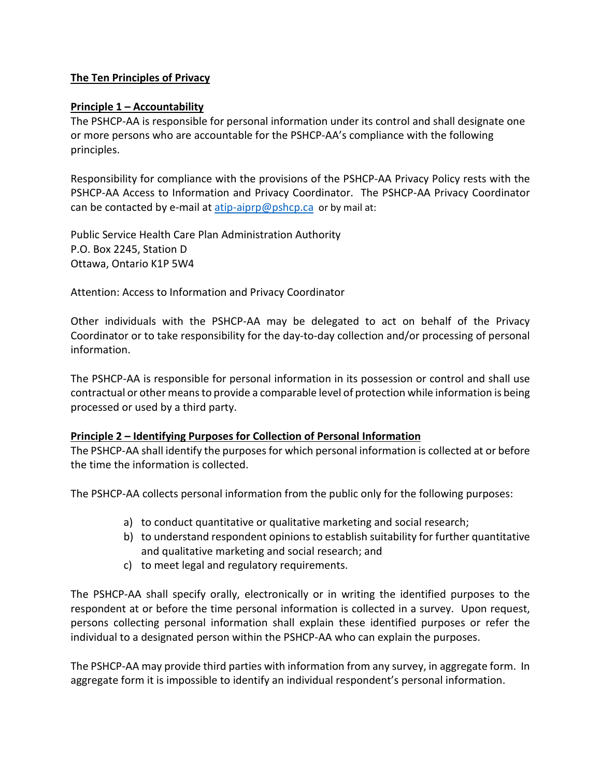### **The Ten Principles of Privacy**

#### **Principle 1 – Accountability**

The PSHCP-AA is responsible for personal information under its control and shall designate one or more persons who are accountable for the PSHCP-AA's compliance with the following principles.

Responsibility for compliance with the provisions of the PSHCP-AA Privacy Policy rests with the PSHCP-AA Access to Information and Privacy Coordinator. The PSHCP-AA Privacy Coordinator can be contacted by e-mail at  $\frac{\text{atip} - \text{aiprp}}{\text{opphcp} \cdot \text{ca}}$  or by mail at:

Public Service Health Care Plan Administration Authority P.O. Box 2245, Station D Ottawa, Ontario K1P 5W4

Attention: Access to Information and Privacy Coordinator

Other individuals with the PSHCP-AA may be delegated to act on behalf of the Privacy Coordinator or to take responsibility for the day-to-day collection and/or processing of personal information.

The PSHCP-AA is responsible for personal information in its possession or control and shall use contractual or other means to provide a comparable level of protection while information is being processed or used by a third party.

#### **Principle 2 – Identifying Purposes for Collection of Personal Information**

The PSHCP-AA shall identify the purposes for which personal information is collected at or before the time the information is collected.

The PSHCP-AA collects personal information from the public only for the following purposes:

- a) to conduct quantitative or qualitative marketing and social research;
- b) to understand respondent opinions to establish suitability for further quantitative and qualitative marketing and social research; and
- c) to meet legal and regulatory requirements.

The PSHCP-AA shall specify orally, electronically or in writing the identified purposes to the respondent at or before the time personal information is collected in a survey. Upon request, persons collecting personal information shall explain these identified purposes or refer the individual to a designated person within the PSHCP-AA who can explain the purposes.

The PSHCP-AA may provide third parties with information from any survey, in aggregate form. In aggregate form it is impossible to identify an individual respondent's personal information.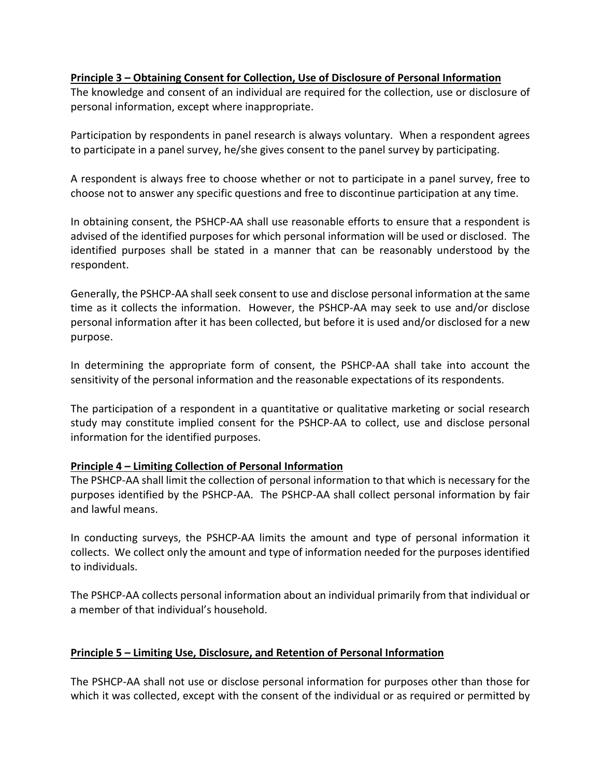#### **Principle 3 – Obtaining Consent for Collection, Use of Disclosure of Personal Information**

The knowledge and consent of an individual are required for the collection, use or disclosure of personal information, except where inappropriate.

Participation by respondents in panel research is always voluntary. When a respondent agrees to participate in a panel survey, he/she gives consent to the panel survey by participating.

A respondent is always free to choose whether or not to participate in a panel survey, free to choose not to answer any specific questions and free to discontinue participation at any time.

In obtaining consent, the PSHCP-AA shall use reasonable efforts to ensure that a respondent is advised of the identified purposes for which personal information will be used or disclosed. The identified purposes shall be stated in a manner that can be reasonably understood by the respondent.

Generally, the PSHCP-AA shall seek consent to use and disclose personal information at the same time as it collects the information. However, the PSHCP-AA may seek to use and/or disclose personal information after it has been collected, but before it is used and/or disclosed for a new purpose.

In determining the appropriate form of consent, the PSHCP-AA shall take into account the sensitivity of the personal information and the reasonable expectations of its respondents.

The participation of a respondent in a quantitative or qualitative marketing or social research study may constitute implied consent for the PSHCP-AA to collect, use and disclose personal information for the identified purposes.

# **Principle 4 – Limiting Collection of Personal Information**

The PSHCP-AA shall limit the collection of personal information to that which is necessary for the purposes identified by the PSHCP-AA. The PSHCP-AA shall collect personal information by fair and lawful means.

In conducting surveys, the PSHCP-AA limits the amount and type of personal information it collects. We collect only the amount and type of information needed for the purposes identified to individuals.

The PSHCP-AA collects personal information about an individual primarily from that individual or a member of that individual's household.

# **Principle 5 – Limiting Use, Disclosure, and Retention of Personal Information**

The PSHCP-AA shall not use or disclose personal information for purposes other than those for which it was collected, except with the consent of the individual or as required or permitted by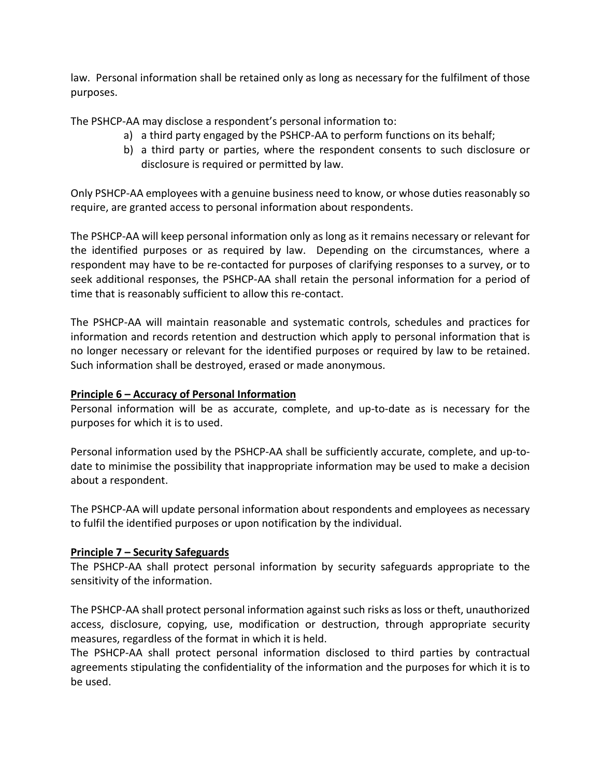law. Personal information shall be retained only as long as necessary for the fulfilment of those purposes.

The PSHCP-AA may disclose a respondent's personal information to:

- a) a third party engaged by the PSHCP-AA to perform functions on its behalf;
- b) a third party or parties, where the respondent consents to such disclosure or disclosure is required or permitted by law.

Only PSHCP-AA employees with a genuine business need to know, or whose duties reasonably so require, are granted access to personal information about respondents.

The PSHCP-AA will keep personal information only as long as it remains necessary or relevant for the identified purposes or as required by law. Depending on the circumstances, where a respondent may have to be re-contacted for purposes of clarifying responses to a survey, or to seek additional responses, the PSHCP-AA shall retain the personal information for a period of time that is reasonably sufficient to allow this re-contact.

The PSHCP-AA will maintain reasonable and systematic controls, schedules and practices for information and records retention and destruction which apply to personal information that is no longer necessary or relevant for the identified purposes or required by law to be retained. Such information shall be destroyed, erased or made anonymous.

# **Principle 6 – Accuracy of Personal Information**

Personal information will be as accurate, complete, and up-to-date as is necessary for the purposes for which it is to used.

Personal information used by the PSHCP-AA shall be sufficiently accurate, complete, and up-todate to minimise the possibility that inappropriate information may be used to make a decision about a respondent.

The PSHCP-AA will update personal information about respondents and employees as necessary to fulfil the identified purposes or upon notification by the individual.

# **Principle 7 – Security Safeguards**

The PSHCP-AA shall protect personal information by security safeguards appropriate to the sensitivity of the information.

The PSHCP-AA shall protect personal information against such risks as loss or theft, unauthorized access, disclosure, copying, use, modification or destruction, through appropriate security measures, regardless of the format in which it is held.

The PSHCP-AA shall protect personal information disclosed to third parties by contractual agreements stipulating the confidentiality of the information and the purposes for which it is to be used.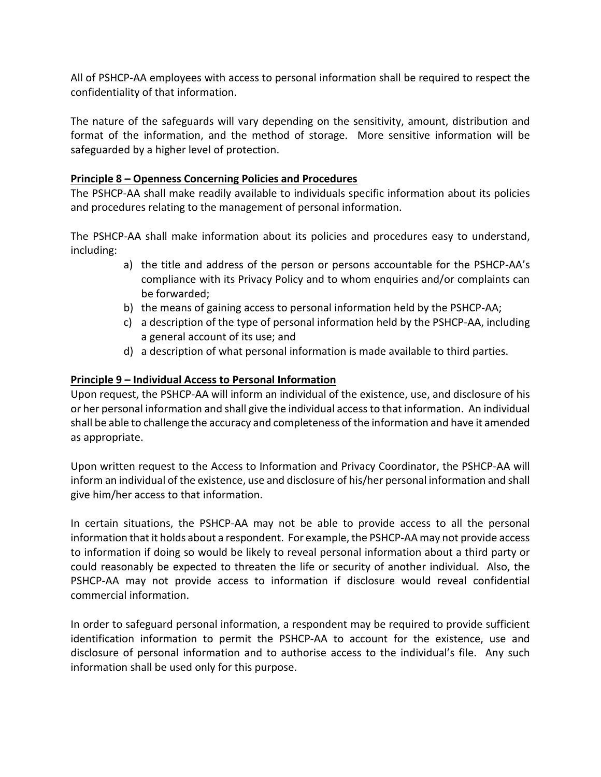All of PSHCP-AA employees with access to personal information shall be required to respect the confidentiality of that information.

The nature of the safeguards will vary depending on the sensitivity, amount, distribution and format of the information, and the method of storage. More sensitive information will be safeguarded by a higher level of protection.

### **Principle 8 – Openness Concerning Policies and Procedures**

The PSHCP-AA shall make readily available to individuals specific information about its policies and procedures relating to the management of personal information.

The PSHCP-AA shall make information about its policies and procedures easy to understand, including:

- a) the title and address of the person or persons accountable for the PSHCP-AA's compliance with its Privacy Policy and to whom enquiries and/or complaints can be forwarded;
- b) the means of gaining access to personal information held by the PSHCP-AA;
- c) a description of the type of personal information held by the PSHCP-AA, including a general account of its use; and
- d) a description of what personal information is made available to third parties.

# **Principle 9 – Individual Access to Personal Information**

Upon request, the PSHCP-AA will inform an individual of the existence, use, and disclosure of his or her personal information and shall give the individual access to that information. An individual shall be able to challenge the accuracy and completeness of the information and have it amended as appropriate.

Upon written request to the Access to Information and Privacy Coordinator, the PSHCP-AA will inform an individual of the existence, use and disclosure of his/her personal information and shall give him/her access to that information.

In certain situations, the PSHCP-AA may not be able to provide access to all the personal information that it holds about a respondent. For example, the PSHCP-AA may not provide access to information if doing so would be likely to reveal personal information about a third party or could reasonably be expected to threaten the life or security of another individual. Also, the PSHCP-AA may not provide access to information if disclosure would reveal confidential commercial information.

In order to safeguard personal information, a respondent may be required to provide sufficient identification information to permit the PSHCP-AA to account for the existence, use and disclosure of personal information and to authorise access to the individual's file. Any such information shall be used only for this purpose.